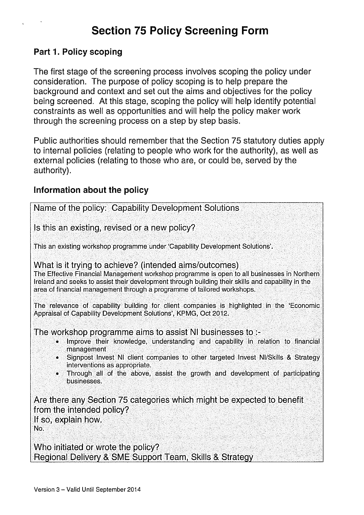# Section 75 Policy Screening Form

#### Part 1. Policy scoping

The first stage of the screening process involves scoping the policy under consideration. The purpose of policy scoping is to help prepare the background and context and set out the aims and objectives for the policy being screened. At this stage, scoping the policy will help identify potential constraints as well as opportunities and will help the policy maker work through the screening process on a step by step basis.

Public authorities should remember that the Section 75 statutory duties apply to internal policies (relating to people who work for the authority), as well as external policies (relating to those who are, or could be, served by the authority).

#### Information about the policy

| Name of the policy: Capability Development Solutions                                                                                                                                                                                                                                                                                                                                    |
|-----------------------------------------------------------------------------------------------------------------------------------------------------------------------------------------------------------------------------------------------------------------------------------------------------------------------------------------------------------------------------------------|
| Is this an existing, revised or a new policy?                                                                                                                                                                                                                                                                                                                                           |
| This an existing workshop programme under 'Capability Development Solutions'.                                                                                                                                                                                                                                                                                                           |
| What is it trying to achieve? (intended aims/outcomes)<br>The Effective Financial Management workshop programme is open to all businesses in Northern<br>Ireland and seeks to assist their development through building their skills and capability in the<br>area of financial management through a programme of tailored workshops.                                                   |
| The relevance of capability building for client companies is highlighted in the 'Economic<br>Appraisal of Capability Development Solutions', KPMG, Oct 2012.                                                                                                                                                                                                                            |
| The workshop programme aims to assist NI businesses to :-<br>Improve their knowledge, understanding and capability in relation to financial<br>۰<br>management<br>• Signpost Invest NI client companies to other targeted Invest NI/Skills & Strategy<br>interventions as appropriate.<br>• Through all of the above, assist the growth and development of participating<br>businesses. |
| Are there any Section 75 categories which might be expected to benefit<br>from the intended policy?<br>If so, explain how.<br>No.                                                                                                                                                                                                                                                       |
| Who initiated or wrote the policy?<br>Regional Delivery & SME Support Team, Skills & Strategy                                                                                                                                                                                                                                                                                           |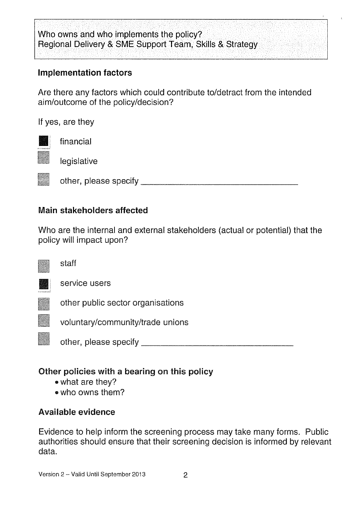# Who owns and who implements the policy? Regional Delivery & SME Support Team, Skills & Strategy

### Implementation factors

Are there any factors which could contribute to/detract from the intended aim/outcome of the policy/decision?

If yes, are they



financial

legislative

other, please specify **contained a set of the set of the set of the set of the set of the set of the set of the set of the set of the set of the set of the set of the set of the set of the set of the set of the set of the** 

### Main stakeholders affected

Who are the internal and external stakeholders (actual or potential) that the policy will impact upon?



staff



service users

other public sector organisations

voluntary/community/trade unions

other, please specify

# Other policies with a bearing on this policy

- what are they?
- who owns them?

### Available evidence

Evidence to help inform the screening process may take many forms. Public authorities should ensure that their screening decision is informed by relevant data.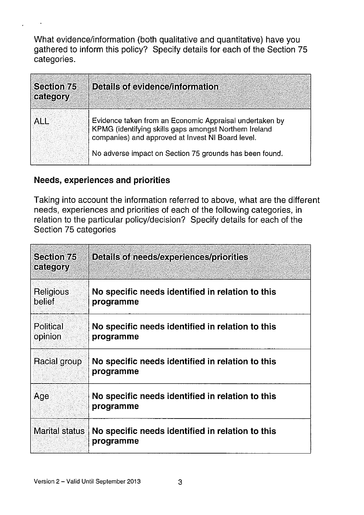What evidence/information (both qualitative and quantitative) have you gathered to inform this policy? Specify details for each of the Section 75 categories.

| <b>Section 75</b><br>category | Details of evidence/information                                                                                                                                        |
|-------------------------------|------------------------------------------------------------------------------------------------------------------------------------------------------------------------|
| <b>ALL</b>                    | Evidence taken from an Economic Appraisal undertaken by<br>KPMG (identifying skills gaps amongst Northern Ireland<br>companies) and approved at Invest NI Board level. |
|                               | No adverse impact on Section 75 grounds has been found.                                                                                                                |

### Needs, experiences and priorities

 $\ddot{\phantom{1}}$ 

Taking into account the information referred to above, what are the different needs, experiences and priorities of each of the following categories, in relation to the particular policy/decision? Specify details for each of the Section 75 categories

| <b>Section 75</b><br>category | <b>Details of needs/experiences/priorities</b>                |
|-------------------------------|---------------------------------------------------------------|
| Religious<br>belief           | No specific needs identified in relation to this<br>programme |
| <b>Political</b><br>opinion   | No specific needs identified in relation to this<br>programme |
| Racial group                  | No specific needs identified in relation to this<br>programme |
| Age                           | No specific needs identified in relation to this<br>programme |
| <b>Marital status</b>         | No specific needs identified in relation to this<br>programme |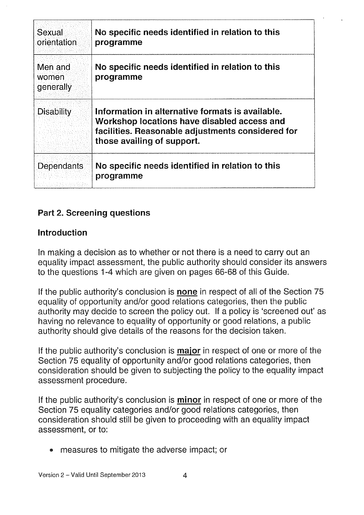| Sexual<br>orientation         | No specific needs identified in relation to this<br>programme                                                                                                                      |
|-------------------------------|------------------------------------------------------------------------------------------------------------------------------------------------------------------------------------|
| Men and<br>women<br>generally | No specific needs identified in relation to this<br>programme                                                                                                                      |
| <b>Disability</b>             | Information in alternative formats is available.<br>Workshop locations have disabled access and<br>facilities. Reasonable adjustments considered for<br>those availing of support. |
| Dependants                    | No specific needs identified in relation to this<br>programme                                                                                                                      |

## Part 2. Screening questions

### Introduction

In making a decision as to whether or not there is a need to carry out an equality impact assessment, the public authority should consider its answers to the questions 1-4 which are given on pages 66-68 of this Guide.

If the public authority's conclusion is none in respect of all of the Section 75 equality of opportunity and/or good relations categories, then the public authority may decide to screen the policy out. If a policy is 'screened out' as having no relevance to equality of opportunity or good relations, a public authority should give details of the reasons for the decision taken.

If the public authority's conclusion is **major** in respect of one or more of the Section 75 equality of opportunity and/or good relations categories, then consideration should be given to subjecting the policy to the equality impact assessment procedure.

If the public authority's conclusion is **minor** in respect of one or more of the Section 75 equality categories and/or good relations categories, then consideration should still be given to proceeding with an equality impact assessment, or to:

measures to mitigate the adverse impact; or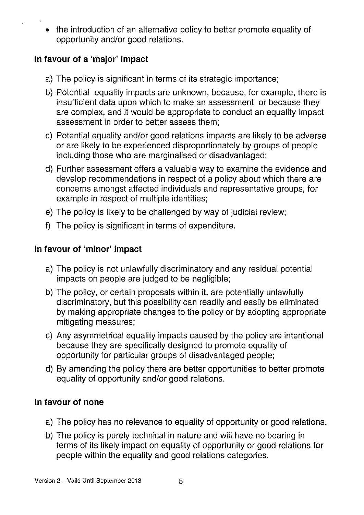• the introduction of an alternative policy to better promote equality of opportunity and/or good relations.

# In favour of a 'major' impact

- a) The policy is significant in terms of its strategic importance;
- b) Potential equality impacts are unknown, because, for example, there is insufficient data upon which to make an assessment or because they are complex, and it would be appropriate to conduct an equality impact assessment in order to better assess them;
- c) Potential equality and/or good relations impacts are likely to be adverse or are likely to be experienced disproportionately by groups of people including those who are marginalised or disadvantaged;
- d) Further assessment offers a valuable way to examine the evidence and develop recommendations in respect of a policy about which there are concerns amongst affected individuals and representative groups, for example in respect of multiple identities;
- e) The policy is likely to be challenged by way of judicial review;
- f) The policy is significant in terms of expenditure.

# In favour of 'minor' impact

- a) The policy is not unlawfully discriminatory and any residual potential impacts on people are judged to be negligible;
- b) The policy, or certain proposals within it, are potentially unlawfully discriminatory, but this possibility can readily and easily be eliminated by making appropriate changes to the policy or by adopting appropriate mitigating measures;
- c) Any asymmetrical equality impacts caused by the policy are intentional because they are specifically designed to promote equality of opportunity for particular groups of disadvantaged people;
- d) By amending the policy there are better opportunities to better promote equality of opportunity and/or good relations.

# In favour of none

- a) The policy has no relevance to equality of opportunity or good relations.
- b) The policy is purely technical in nature and will have no bearing in terms of its likely impact on equality of opportunity or good relations for people within the equality and good relations categories.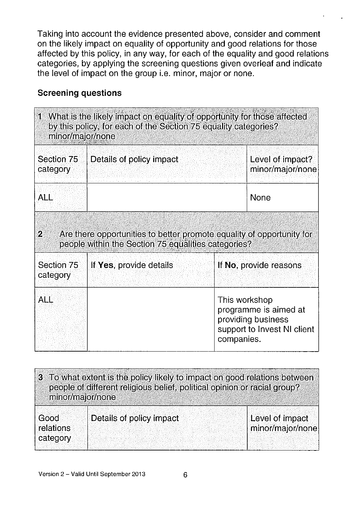Taking into account the evidence presented above, consider and comment on the likely impact on equality of opportunity and good relations for those affected by this policy, in any way, for each of the equality and good relations categories, by applying the screening questions given overleaf and indicate the level of impact on the group i.e. minor, major or none.

### Screening questions

| 1 What is the likely impact on equality of opportunity for those affected<br>by this policy, for each of the Section 75 equality categories?<br>minor/major/none |                          |                                                                                                           |  |
|------------------------------------------------------------------------------------------------------------------------------------------------------------------|--------------------------|-----------------------------------------------------------------------------------------------------------|--|
| Section 75<br>category                                                                                                                                           | Details of policy impact | Level of impact?<br>minor/major/none                                                                      |  |
| <b>ALL</b>                                                                                                                                                       |                          | None                                                                                                      |  |
| Are there opportunities to better promote equality of opportunity for<br>$\overline{2}$<br>people within the Section 75 equalities categories?                   |                          |                                                                                                           |  |
| Section 75<br>category                                                                                                                                           | If Yes, provide details  | If No, provide reasons                                                                                    |  |
| ALL                                                                                                                                                              |                          | This workshop<br>programme is aimed at<br>providing business<br>support to Invest NI client<br>companies. |  |

| 3 To what extent is the policy likely to impact on good relations between<br>people of different religious belief, political opinion or racial group?<br>minor/major/none |                          |                                     |  |
|---------------------------------------------------------------------------------------------------------------------------------------------------------------------------|--------------------------|-------------------------------------|--|
| Good<br>relations<br>category                                                                                                                                             | Details of policy impact | Level of impact<br>minor/major/none |  |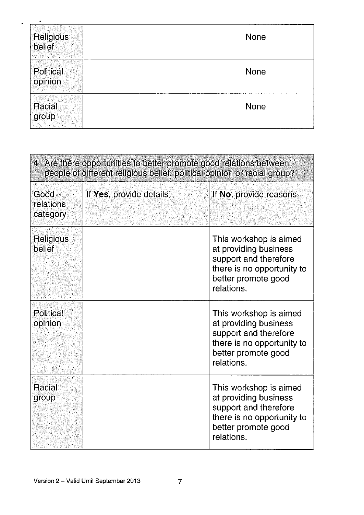| Religious<br>belief  | <b>None</b> |
|----------------------|-------------|
| Political<br>opinion | None        |
| Racial<br>group      | None        |

| 4 Are there opportunities to better promote good relations between<br>people of different religious belief, political opinion or racial group? |                         |                                                                                                                                             |  |
|------------------------------------------------------------------------------------------------------------------------------------------------|-------------------------|---------------------------------------------------------------------------------------------------------------------------------------------|--|
| <b>Good</b><br>relations<br>category                                                                                                           | If Yes, provide details | If No, provide reasons                                                                                                                      |  |
| Religious<br>belief                                                                                                                            |                         | This workshop is aimed<br>at providing business<br>support and therefore<br>there is no opportunity to<br>better promote good<br>relations. |  |
| <b>Political</b><br>opinion                                                                                                                    |                         | This workshop is aimed<br>at providing business<br>support and therefore<br>there is no opportunity to<br>better promote good<br>relations. |  |
| Racial<br>group                                                                                                                                |                         | This workshop is aimed<br>at providing business<br>support and therefore<br>there is no opportunity to<br>better promote good<br>relations. |  |

 $\omega$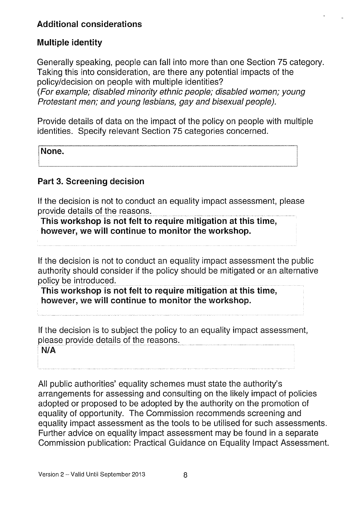### Additional considerations

### Multiple identity

Generally speaking, people can fall into more than one Section 75 category. Taking this into consideration, are there any potential impacts of the policy/decision on people with multiple identities? (For example; disabled minority ethnic people; disabled women; young Protestant men; and young lesbians, gay and bisexual people).

Provide details of data on the impact of the policy on people with multiple identities. Specify relevant Section 75 categories concerned.

None.

#### Part 3. Screening decision

If the decision is not to conduct an equality impact assessment, please provide details of the reasons.

This workshop is not felt to require mitigation at this time, however, we will continue to monitor the workshop.

If the decision is not to conduct an equality impact assessment the public authority should consider if the policy should be mitigated or an alternative policy be introduced.

This workshop is not felt to require mitigation at this time, however, we will continue to monitor the workshop.

If the decision is to subject the policy to an equality impact assessment, please provide details of the reasons.

NIA

All public authorities' equality schemes must state the authority's arrangements for assessing and consulting on the likely impact of policies adopted or proposed to be adopted by the authority on the promotion of equality of opportunity. The Commission recommends screening and equality impact assessment as the tools to be utilised for such assessments. Further advice on equality impact assessment may be found in a separate Commission publication: Practical Guidance on Equality Impact Assessment.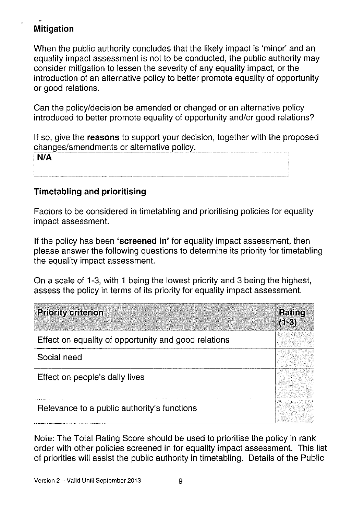# Mitigation

When the public authority concludes that the likely impact is 'minor' and an equality impact assessment is not to be conducted, the public authority may consider mitigation to lessen the severity of any equality impact, or the introduction of an alternative policy to better promote equality of opportunity or good relations.

Can the policy/decision be amended or changed or an alternative policy introduced to better promote equality of opportunity and/or good relations?

If so, give the reasons to support your decision, together with the proposed changes/amendments or alternative policy.

| N/A |  |  |
|-----|--|--|
|     |  |  |

## Timetabling and prioritising

Factors to be considered in timetabling and prioritising policies for equality impact assessment.

If the policy has been 'screened in' for equality impact assessment, then please answer the following questions to determine its priority for timetabling the equality impact assessment.

On a scale of 1-3, with <sup>1</sup> being the lowest priority and 3 being the highest, assess the policy in terms of its priority for equality impact assessment.

| <b>Priority criterion</b>                            | Rating<br>$(1-3)$ |
|------------------------------------------------------|-------------------|
| Effect on equality of opportunity and good relations |                   |
| Social need                                          |                   |
| Effect on people's daily lives                       |                   |
| Relevance to a public authority's functions          |                   |

Note: The Total Rating Score should be used to prioritise the policy in rank order with other policies screened in for equality impact assessment. This list of priorities will assist the public authority in timetabling. Details of the Public